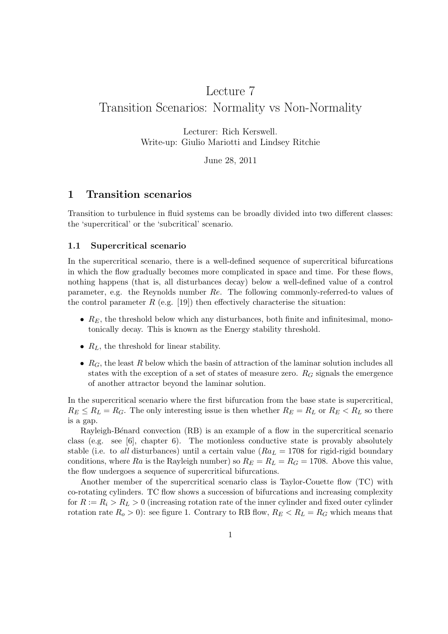# Lecture 7 Transition Scenarios: Normality vs Non-Normality

Lecturer: Rich Kerswell. Write-up: Giulio Mariotti and Lindsey Ritchie

June 28, 2011

## 1 Transition scenarios

Transition to turbulence in fluid systems can be broadly divided into two different classes: the 'supercritical' or the 'subcritical' scenario.

#### 1.1 Supercritical scenario

In the supercritical scenario, there is a well-defined sequence of supercritical bifurcations in which the flow gradually becomes more complicated in space and time. For these flows, nothing happens (that is, all disturbances decay) below a well-defined value of a control parameter, e.g. the Reynolds number Re. The following commonly-referred-to values of the control parameter  $R$  (e.g. [19]) then effectively characterise the situation:

- $R_E$ , the threshold below which any disturbances, both finite and infinitesimal, monotonically decay. This is known as the Energy stability threshold.
- $R_L$ , the threshold for linear stability.
- $R_G$ , the least R below which the basin of attraction of the laminar solution includes all states with the exception of a set of states of measure zero.  $R_G$  signals the emergence of another attractor beyond the laminar solution.

In the supercritical scenario where the first bifurcation from the base state is supercritical,  $R_E \le R_L = R_G$ . The only interesting issue is then whether  $R_E = R_L$  or  $R_E < R_L$  so there is a gap.

Rayleigh-Bénard convection (RB) is an example of a flow in the supercritical scenario class (e.g. see [6], chapter 6). The motionless conductive state is provably absolutely stable (i.e. to all disturbances) until a certain value ( $Ra_L = 1708$  for rigid-rigid boundary conditions, where Ra is the Rayleigh number) so  $R_E = R_L = R_G = 1708$ . Above this value, the flow undergoes a sequence of supercritical bifurcations.

Another member of the supercritical scenario class is Taylor-Couette flow (TC) with co-rotating cylinders. TC flow shows a succession of bifurcations and increasing complexity for  $R := R_i > R_L > 0$  (increasing rotation rate of the inner cylinder and fixed outer cylinder rotation rate  $R_o > 0$ ): see figure 1. Contrary to RB flow,  $R_E < R_L = R_G$  which means that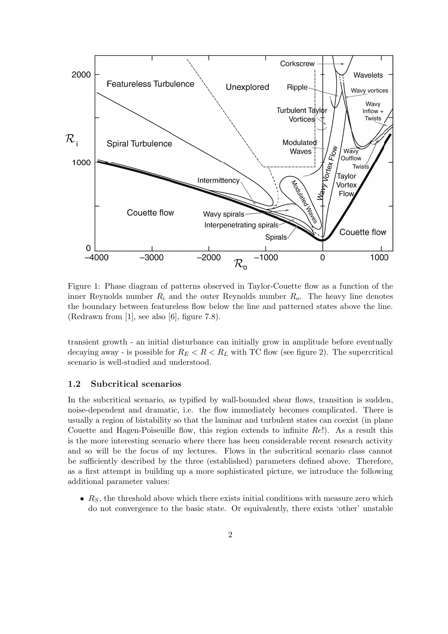

Figure 1: Phase diagram of patterns observed in Taylor-Couette flow as a function of the inner Reynolds number  $R_i$  and the outer Reynolds number  $R_o$ . The heavy line denotes the boundary between featureless flow below the line and patterned states above the line. (Redrawn from [1], see also [6], figure 7.8).

transient growth - an initial disturbance can initially grow in amplitude before eventually decaying away - is possible for  $R_E < R < R_L$  with TC flow (see figure 2). The supercritical scenario is well-studied and understood.

#### 1.2 Subcritical scenarios

In the subcritical scenario, as typified by wall-bounded shear flows, transition is sudden, noise-dependent and dramatic, i.e. the flow immediately becomes complicated. There is usually a region of bistability so that the laminar and turbulent states can coexist (in plane Couette and Hagen-Poiseuille flow, this region extends to infinite  $Re!)$ . As a result this is the more interesting scenario where there has been considerable recent research activity and so will be the focus of my lectures. Flows in the subcritical scenario class cannot be sufficiently described by the three (established) parameters defined above. Therefore, as a first attempt in building up a more sophisticated picture, we introduce the following additional parameter values:

•  $R<sub>S</sub>$ , the threshold above which there exists initial conditions with measure zero which do not convergence to the basic state. Or equivalently, there exists 'other' unstable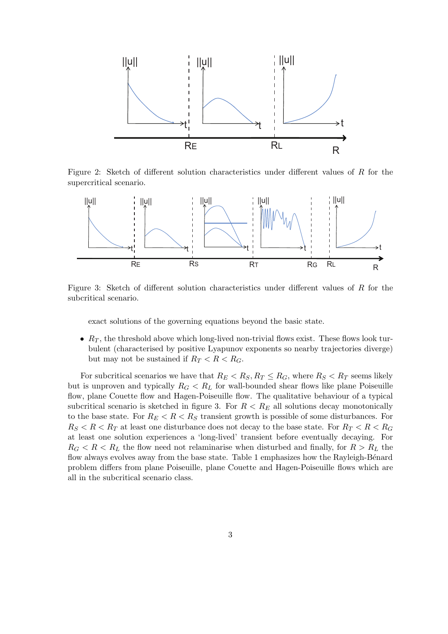

Figure 2: Sketch of different solution characteristics under different values of R for the supercritical scenario.



Figure 3: Sketch of different solution characteristics under different values of R for the subcritical scenario.

exact solutions of the governing equations beyond the basic state.

•  $R_T$ , the threshold above which long-lived non-trivial flows exist. These flows look turbulent (characterised by positive Lyapunov exponents so nearby trajectories diverge) but may not be sustained if  $R_T < R < R_G$ .

For subcritical scenarios we have that  $R_E < R_S, R_T \leq R_G$ , where  $R_S < R_T$  seems likely but is unproven and typically  $R_G < R_L$  for wall-bounded shear flows like plane Poiseuille flow, plane Couette flow and Hagen-Poiseuille flow. The qualitative behaviour of a typical subcritical scenario is sketched in figure 3. For  $R < R_E$  all solutions decay monotonically to the base state. For  $R_E < R < R_S$  transient growth is possible of some disturbances. For  $R_S < R < R_T$  at least one disturbance does not decay to the base state. For  $R_T < R < R_G$ at least one solution experiences a 'long-lived' transient before eventually decaying. For  $R_G < R < R_L$  the flow need not relaminarise when disturbed and finally, for  $R > R_L$  the flow always evolves away from the base state. Table 1 emphasizes how the Rayleigh-Bénard problem differs from plane Poiseuille, plane Couette and Hagen-Poiseuille flows which are all in the subcritical scenario class.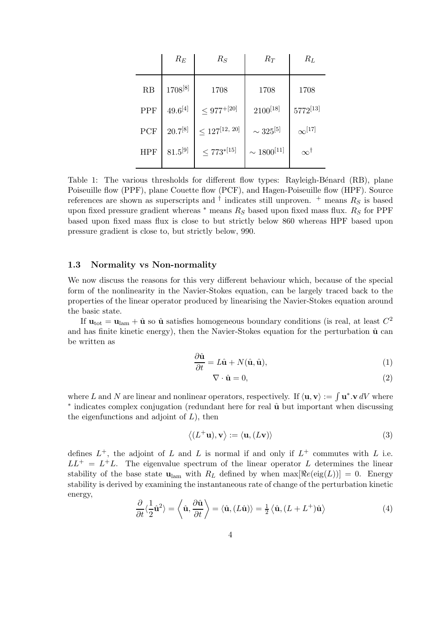|            | $R_E$        | $R_S$                 | $R_T$              | $R_L$            |
|------------|--------------|-----------------------|--------------------|------------------|
| RB         | 1708[8]      | 1708                  | 1708               | 1708             |
| PPF        | $49.6^{[4]}$ | $\leq 977^{+[20]}$    | $2100^{[18]}$      | $5772^{[13]}$    |
| PCF        | $20.7^{[8]}$ | $\leq 127^{[12, 20]}$ | $\sim 325^{[5]}$   | $\infty^{[17]}$  |
| <b>HPF</b> | $81.5^{[9]}$ | $\leq 773^{*[15]}$    | $\sim 1800^{[11]}$ | $\infty^\dagger$ |

Table 1: The various thresholds for different flow types: Rayleigh-Bénard (RB), plane Poiseuille flow (PPF), plane Couette flow (PCF), and Hagen-Poiseuille flow (HPF). Source references are shown as superscripts and  $\dagger$  indicates still unproven.  $\dagger$  means  $R_S$  is based upon fixed pressure gradient whereas  $*$  means  $R<sub>S</sub>$  based upon fixed mass flux.  $R<sub>S</sub>$  for PPF based upon fixed mass flux is close to but strictly below 860 whereas HPF based upon pressure gradient is close to, but strictly below, 990.

#### 1.3 Normality vs Non-normality

We now discuss the reasons for this very different behaviour which, because of the special form of the nonlinearity in the Navier-Stokes equation, can be largely traced back to the properties of the linear operator produced by linearising the Navier-Stokes equation around the basic state.

If  $\mathbf{u}_{\text{tot}} = \mathbf{u}_{\text{lam}} + \hat{\mathbf{u}}$  so  $\hat{\mathbf{u}}$  satisfies homogeneous boundary conditions (is real, at least  $C^2$ and has finite kinetic energy), then the Navier-Stokes equation for the perturbation  $\hat{\mathbf{u}}$  can be written as

$$
\frac{\partial \hat{\mathbf{u}}}{\partial t} = L\hat{\mathbf{u}} + N(\hat{\mathbf{u}}, \hat{\mathbf{u}}),
$$
\n(1)

$$
\nabla \cdot \hat{\mathbf{u}} = 0,\tag{2}
$$

where L and N are linear and nonlinear operators, respectively. If  $\langle \mathbf{u}, \mathbf{v} \rangle := \int \mathbf{u}^* \cdot \mathbf{v} dV$  where \* indicates complex conjugation (redundant here for real  $\hat{u}$  but important when discussing the eigenfunctions and adjoint of  $L$ ), then

$$
\langle (L^+ \mathbf{u}), \mathbf{v} \rangle := \langle \mathbf{u}, (L \mathbf{v}) \rangle \tag{3}
$$

defines  $L^+$ , the adjoint of L and L is normal if and only if  $L^+$  commutes with L i.e.  $LL^{+} = L^{+}L$ . The eigenvalue spectrum of the linear operator L determines the linear stability of the base state  $\mathbf{u}_{\text{lam}}$  with  $R_L$  defined by when  $\max[\Re e(\text{eig}(L))] = 0$ . Energy stability is derived by examining the instantaneous rate of change of the perturbation kinetic energy,

$$
\frac{\partial}{\partial t}\langle \frac{1}{2}\hat{\mathbf{u}}^2 \rangle = \left\langle \hat{\mathbf{u}}, \frac{\partial \hat{\mathbf{u}}}{\partial t} \right\rangle = \langle \hat{\mathbf{u}}, (L\hat{\mathbf{u}}) \rangle = \frac{1}{2} \left\langle \hat{\mathbf{u}}, (L + L^+) \hat{\mathbf{u}} \right\rangle
$$
(4)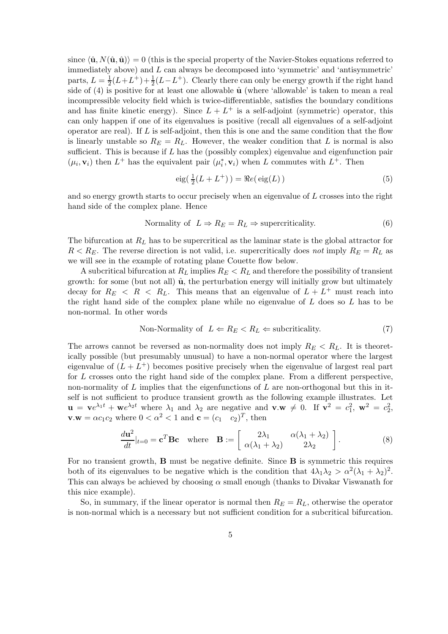since  $\langle \hat{\mathbf{u}}, N(\hat{\mathbf{u}}, \hat{\mathbf{u}}) \rangle = 0$  (this is the special property of the Navier-Stokes equations referred to immediately above) and L can always be decomposed into 'symmetric' and 'antisymmetric' parts,  $L = \frac{1}{2}$  $\frac{1}{2}(L+L^+) + \frac{1}{2}(L-L^+)$ . Clearly there can only be energy growth if the right hand side of  $(4)$  is positive for at least one allowable  $\hat{u}$  (where 'allowable' is taken to mean a real incompressible velocity field which is twice-differentiable, satisfies the boundary conditions and has finite kinetic energy). Since  $L + L^+$  is a self-adjoint (symmetric) operator, this can only happen if one of its eigenvalues is positive (recall all eigenvalues of a self-adjoint operator are real). If  $L$  is self-adjoint, then this is one and the same condition that the flow is linearly unstable so  $R_E = R_L$ . However, the weaker condition that L is normal is also sufficient. This is because if L has the (possibly complex) eigenvalue and eigenfunction pair  $(\mu_i, \mathbf{v}_i)$  then  $L^+$  has the equivalent pair  $(\mu_i^*, \mathbf{v}_i)$  when L commutes with  $L^+$ . Then

$$
eig(\frac{1}{2}(L+L^{+})) = \Re e(eig(L))
$$
\n(5)

and so energy growth starts to occur precisely when an eigenvalue of L crosses into the right hand side of the complex plane. Hence

$$
Normality of L \Rightarrow R_E = R_L \Rightarrow supercriticality.
$$
\n(6)

The bifurcation at  $R_L$  has to be supercritical as the laminar state is the global attractor for  $R < R_E$ . The reverse direction is not valid, i.e. supercritically does not imply  $R_E = R_L$  as we will see in the example of rotating plane Couette flow below.

A subcritical bifurcation at  $R_L$  implies  $R_E < R_L$  and therefore the possibility of transient growth: for some (but not all)  $\hat{u}$ , the perturbation energy will initially grow but ultimately decay for  $R_E \leq R \leq R_L$ . This means that an eigenvalue of  $L + L^+$  must reach into the right hand side of the complex plane while no eigenvalue of  $L$  does so  $L$  has to be non-normal. In other words

Non-Normality of 
$$
L \leftarrow R_E < R_L \leftarrow \text{subcriticality.}
$$
 (7)

The arrows cannot be reversed as non-normality does not imply  $R_E < R_L$ . It is theoretically possible (but presumably unusual) to have a non-normal operator where the largest eigenvalue of  $(L + L<sup>+</sup>)$  becomes positive precisely when the eigenvalue of largest real part for L crosses onto the right hand side of the complex plane. From a different perspective, non-normality of  $L$  implies that the eigenfunctions of  $L$  are non-orthogonal but this in itself is not sufficient to produce transient growth as the following example illustrates. Let  $\mathbf{u} = \mathbf{v}e^{\lambda_1 t} + \mathbf{w}e^{\lambda_2 t}$  where  $\lambda_1$  and  $\lambda_2$  are negative and  $\mathbf{v} \cdot \mathbf{w} \neq 0$ . If  $\mathbf{v}^2 = c_1^2$ ,  $\mathbf{w}^2 = c_2^2$ ,  $\mathbf{v}.\mathbf{w} = \alpha c_1 c_2$  where  $0 < \alpha^2 < 1$  and  $\mathbf{c} = (c_1 \quad c_2)^T$ , then

$$
\frac{d\mathbf{u}^2}{dt}|_{t=0} = \mathbf{c}^T \mathbf{B} \mathbf{c} \quad \text{where} \quad \mathbf{B} := \begin{bmatrix} 2\lambda_1 & \alpha(\lambda_1 + \lambda_2) \\ \alpha(\lambda_1 + \lambda_2) & 2\lambda_2 \end{bmatrix} . \tag{8}
$$

For no transient growth, B must be negative definite. Since B is symmetric this requires both of its eigenvalues to be negative which is the condition that  $4\lambda_1\lambda_2 > \alpha^2(\lambda_1 + \lambda_2)^2$ . This can always be achieved by choosing  $\alpha$  small enough (thanks to Divakar Viswanath for this nice example).

So, in summary, if the linear operator is normal then  $R_E = R_L$ , otherwise the operator is non-normal which is a necessary but not sufficient condition for a subcritical bifurcation.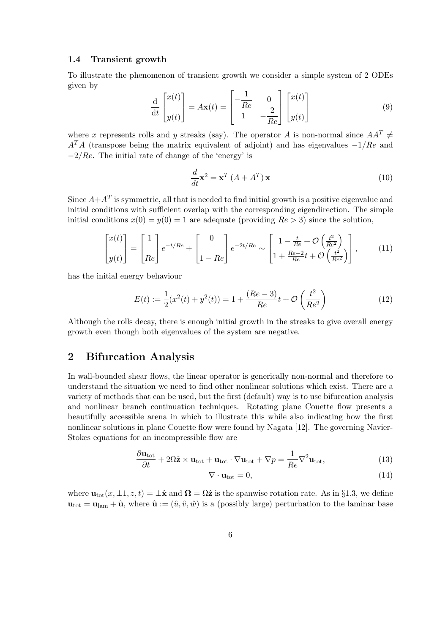#### 1.4 Transient growth

To illustrate the phenomenon of transient growth we consider a simple system of 2 ODEs given by

$$
\frac{\mathrm{d}}{\mathrm{d}t} \begin{bmatrix} x(t) \\ y(t) \end{bmatrix} = A\mathbf{x}(t) = \begin{bmatrix} -\frac{1}{Re} & 0 \\ 1 & -\frac{2}{Re} \end{bmatrix} \begin{bmatrix} x(t) \\ y(t) \end{bmatrix} \tag{9}
$$

where x represents rolls and y streaks (say). The operator A is non-normal since  $AA^T \neq$  $A<sup>T</sup>A$  (transpose being the matrix equivalent of adjoint) and has eigenvalues  $-1/Re$  and  $-2/Re$ . The initial rate of change of the 'energy' is

$$
\frac{d}{dt}\mathbf{x}^2 = \mathbf{x}^T \left( A + A^T \right) \mathbf{x}
$$
\n(10)

Since  $A + A^T$  is symmetric, all that is needed to find initial growth is a positive eigenvalue and initial conditions with sufficient overlap with the corresponding eigendirection. The simple initial conditions  $x(0) = y(0) = 1$  are adequate (providing  $Re > 3$ ) since the solution,

$$
\begin{bmatrix} x(t) \\ y(t) \end{bmatrix} = \begin{bmatrix} 1 \\ Re \end{bmatrix} e^{-t/Re} + \begin{bmatrix} 0 \\ 1 - Re \end{bmatrix} e^{-2t/Re} \sim \begin{bmatrix} 1 - \frac{t}{Re} + \mathcal{O}\left(\frac{t^2}{Re^2}\right) \\ 1 + \frac{Re - 2}{Re}t + \mathcal{O}\left(\frac{t^2}{Re^2}\right) \end{bmatrix}, \quad (11)
$$

has the initial energy behaviour

$$
E(t) := \frac{1}{2}(x^2(t) + y^2(t)) = 1 + \frac{(Re - 3)}{Re}t + \mathcal{O}\left(\frac{t^2}{Re^2}\right)
$$
 (12)

Although the rolls decay, there is enough initial growth in the streaks to give overall energy growth even though both eigenvalues of the system are negative.

## 2 Bifurcation Analysis

In wall-bounded shear flows, the linear operator is generically non-normal and therefore to understand the situation we need to find other nonlinear solutions which exist. There are a variety of methods that can be used, but the first (default) way is to use bifurcation analysis and nonlinear branch continuation techniques. Rotating plane Couette flow presents a beautifully accessible arena in which to illustrate this while also indicating how the first nonlinear solutions in plane Couette flow were found by Nagata [12]. The governing Navier-Stokes equations for an incompressible flow are

$$
\frac{\partial \mathbf{u}_{\text{tot}}}{\partial t} + 2\Omega \hat{\mathbf{z}} \times \mathbf{u}_{\text{tot}} + \mathbf{u}_{\text{tot}} \cdot \nabla \mathbf{u}_{\text{tot}} + \nabla p = \frac{1}{Re} \nabla^2 \mathbf{u}_{\text{tot}},
$$
\n(13)

$$
\nabla \cdot \mathbf{u}_{\text{tot}} = 0,\tag{14}
$$

where  $\mathbf{u}_{\text{tot}}(x, \pm 1, z, t) = \pm \hat{\mathbf{x}}$  and  $\mathbf{\Omega} = \Omega \hat{\mathbf{z}}$  is the spanwise rotation rate. As in §1.3, we define  $u_{\text{tot}} = u_{\text{lam}} + \hat{u}$ , where  $\hat{u} := (\hat{u}, \hat{v}, \hat{w})$  is a (possibly large) perturbation to the laminar base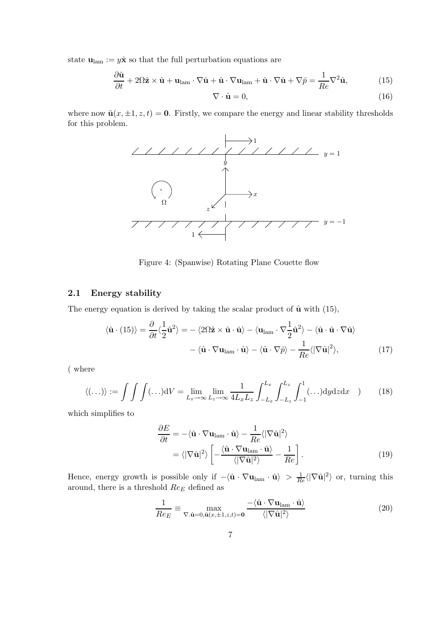state  $\mathbf{u}_{\text{lam}} := y\hat{\mathbf{x}}$  so that the full perturbation equations are

$$
\frac{\partial \hat{\mathbf{u}}}{\partial t} + 2\Omega \hat{\mathbf{z}} \times \hat{\mathbf{u}} + \mathbf{u}_{\text{lam}} \cdot \nabla \hat{\mathbf{u}} + \hat{\mathbf{u}} \cdot \nabla \mathbf{u}_{\text{lam}} + \hat{\mathbf{u}} \cdot \nabla \hat{\mathbf{u}} + \nabla \hat{p} = \frac{1}{Re} \nabla^2 \hat{\mathbf{u}},
$$
(15)

$$
\nabla \cdot \hat{\mathbf{u}} = 0,\tag{16}
$$

where now  $\hat{\mathbf{u}}(x, \pm 1, z, t) = \mathbf{0}$ . Firstly, we compare the energy and linear stability thresholds for this problem.



Figure 4: (Spanwise) Rotating Plane Couette flow

#### 2.1 Energy stability

The energy equation is derived by taking the scalar product of  $\hat{u}$  with (15),

$$
\langle \hat{\mathbf{u}} \cdot (15) \rangle = \frac{\partial}{\partial t} \langle \frac{1}{2} \hat{\mathbf{u}}^2 \rangle = - \langle 2\Omega \hat{\mathbf{z}} \times \hat{\mathbf{u}} \cdot \hat{\mathbf{u}} \rangle - \langle \mathbf{u}_{\text{lam}} \cdot \nabla \frac{1}{2} \hat{\mathbf{u}}^2 \rangle - \langle \hat{\mathbf{u}} \cdot \hat{\mathbf{u}} \cdot \nabla \hat{\mathbf{u}} \rangle - \langle \hat{\mathbf{u}} \cdot \nabla \mathbf{u}_{\text{lam}} \cdot \hat{\mathbf{u}} \rangle - \langle \hat{\mathbf{u}} \cdot \nabla \hat{p} \rangle - \frac{1}{Re} \langle |\nabla \hat{\mathbf{u}}|^2 \rangle,
$$
 (17)

( where

$$
\langle (\ldots) \rangle := \int \int \int (\ldots) \mathrm{d}V = \lim_{L_x \to \infty} \lim_{L_z \to \infty} \frac{1}{4L_x L_z} \int_{-L_x}^{L_x} \int_{-L_z}^{L_z} \int_{-1}^1 (\ldots) \mathrm{d}y \mathrm{d}z \mathrm{d}x \quad ) \tag{18}
$$

which simplifies to

$$
\frac{\partial E}{\partial t} = -\langle \hat{\mathbf{u}} \cdot \nabla \mathbf{u}_{\text{lam}} \cdot \hat{\mathbf{u}} \rangle - \frac{1}{Re} \langle |\nabla \hat{\mathbf{u}}|^2 \rangle \n= \langle |\nabla \hat{\mathbf{u}}|^2 \rangle \left[ -\frac{\langle \hat{\mathbf{u}} \cdot \nabla \mathbf{u}_{\text{lam}} \cdot \hat{\mathbf{u}} \rangle}{\langle |\nabla \hat{\mathbf{u}}|^2 \rangle} - \frac{1}{Re} \right].
$$
\n(19)

Hence, energy growth is possible only if  $-\langle \hat{\mathbf{u}} \cdot \nabla \mathbf{u}_{\text{lam}} \cdot \hat{\mathbf{u}} \rangle > \frac{1}{Re} \langle |\nabla \hat{\mathbf{u}}|^2 \rangle$  or, turning this around, there is a threshold  $Re_E$  defined as

$$
\frac{1}{Re_E} \equiv \max_{\nabla \cdot \hat{\mathbf{u}} = 0, \hat{\mathbf{u}}(x, \pm 1, z, t) = \mathbf{0}} \frac{-\langle \hat{\mathbf{u}} \cdot \nabla \mathbf{u}_{\text{lam}} \cdot \hat{\mathbf{u}} \rangle}{\langle |\nabla \hat{\mathbf{u}}|^2 \rangle}
$$
(20)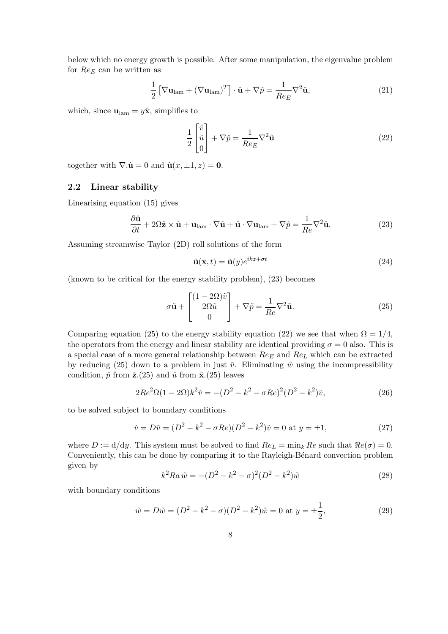below which no energy growth is possible. After some manipulation, the eigenvalue problem for  $Re_E$  can be written as

$$
\frac{1}{2} \left[ \nabla \mathbf{u}_{\text{lam}} + (\nabla \mathbf{u}_{\text{lam}})^T \right] \cdot \hat{\mathbf{u}} + \nabla \hat{p} = \frac{1}{Re_E} \nabla^2 \hat{\mathbf{u}},\tag{21}
$$

which, since  $\mathbf{u}_{\text{lam}} = y\hat{\mathbf{x}}$ , simplifies to

$$
\frac{1}{2} \begin{bmatrix} \hat{v} \\ \hat{u} \\ 0 \end{bmatrix} + \nabla \hat{p} = \frac{1}{Re_E} \nabla^2 \hat{\mathbf{u}} \tag{22}
$$

together with  $\nabla \cdot \hat{\mathbf{u}} = 0$  and  $\hat{\mathbf{u}}(x, \pm 1, z) = \mathbf{0}$ .

### 2.2 Linear stability

Linearising equation (15) gives

$$
\frac{\partial \hat{\mathbf{u}}}{\partial t} + 2\Omega \hat{\mathbf{z}} \times \hat{\mathbf{u}} + \mathbf{u}_{\text{lam}} \cdot \nabla \hat{\mathbf{u}} + \hat{\mathbf{u}} \cdot \nabla \mathbf{u}_{\text{lam}} + \nabla \hat{p} = \frac{1}{Re} \nabla^2 \hat{\mathbf{u}}.
$$
 (23)

Assuming streamwise Taylor (2D) roll solutions of the form

$$
\hat{\mathbf{u}}(\mathbf{x},t) = \tilde{\mathbf{u}}(y)e^{ikz + \sigma t}
$$
\n(24)

(known to be critical for the energy stability problem), (23) becomes

$$
\sigma \tilde{\mathbf{u}} + \begin{bmatrix} (1 - 2\Omega)\tilde{v} \\ 2\Omega \tilde{u} \\ 0 \end{bmatrix} + \nabla \tilde{p} = \frac{1}{Re} \nabla^2 \tilde{\mathbf{u}}.
$$
 (25)

Comparing equation (25) to the energy stability equation (22) we see that when  $\Omega = 1/4$ , the operators from the energy and linear stability are identical providing  $\sigma = 0$  also. This is a special case of a more general relationship between  $Re_E$  and  $Re_L$  which can be extracted by reducing (25) down to a problem in just  $\tilde{v}$ . Eliminating  $\hat{w}$  using the incompressibility condition,  $\hat{p}$  from  $\hat{z}$ .(25) and  $\hat{u}$  from  $\hat{x}$ .(25) leaves

$$
2Re^2\Omega(1 - 2\Omega)k^2\tilde{v} = -(D^2 - k^2 - \sigma Re)^2(D^2 - k^2)\tilde{v},\tag{26}
$$

to be solved subject to boundary conditions

$$
\tilde{v} = D\tilde{v} = (D^2 - k^2 - \sigma Re)(D^2 - k^2)\tilde{v} = 0 \text{ at } y = \pm 1,
$$
\n(27)

where  $D := d/dy$ . This system must be solved to find  $Re_L = \min_k Re$  such that  $Re(\sigma) = 0$ . Conveniently, this can be done by comparing it to the Rayleigh-Bénard convection problem given by

$$
k^{2}Ra \tilde{w} = -(D^{2} - k^{2} - \sigma)^{2}(D^{2} - k^{2})\tilde{w}
$$
\n(28)

with boundary conditions

$$
\tilde{w} = D\tilde{w} = (D^2 - k^2 - \sigma)(D^2 - k^2)\tilde{w} = 0 \text{ at } y = \pm \frac{1}{2},\tag{29}
$$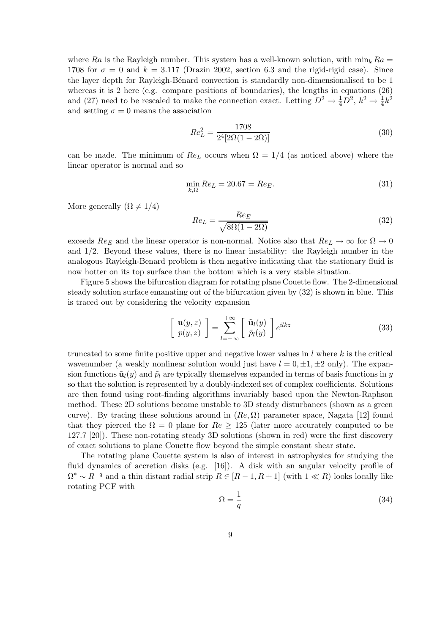where Ra is the Rayleigh number. This system has a well-known solution, with  $\min_k Ra =$ 1708 for  $\sigma = 0$  and  $k = 3.117$  (Drazin 2002, section 6.3 and the rigid-rigid case). Since the layer depth for Rayleigh-Bénard convection is standardly non-dimensionalised to be 1 whereas it is 2 here (e.g. compare positions of boundaries), the lengths in equations (26) and (27) need to be rescaled to make the connection exact. Letting  $D^2 \to \frac{1}{4}D^2$ ,  $k^2 \to \frac{1}{4}k^2$ and setting  $\sigma = 0$  means the association

$$
Re_L^2 = \frac{1708}{2^4 [2\Omega(1 - 2\Omega)]}
$$
\n(30)

can be made. The minimum of  $Re<sub>L</sub>$  occurs when  $\Omega = 1/4$  (as noticed above) where the linear operator is normal and so

$$
\min_{k,\Omega} Re_L = 20.67 = Re_E. \tag{31}
$$

More generally  $(\Omega \neq 1/4)$ 

$$
Re_L = \frac{Re_E}{\sqrt{8\Omega(1 - 2\Omega)}}\tag{32}
$$

exceeds  $Re_E$  and the linear operator is non-normal. Notice also that  $Re_L \to \infty$  for  $\Omega \to 0$ and 1/2. Beyond these values, there is no linear instability: the Rayleigh number in the analogous Rayleigh-Benard problem is then negative indicating that the stationary fluid is now hotter on its top surface than the bottom which is a very stable situation.

Figure 5 shows the bifurcation diagram for rotating plane Couette flow. The 2-dimensional steady solution surface emanating out of the bifurcation given by (32) is shown in blue. This is traced out by considering the velocity expansion

$$
\begin{bmatrix} \mathbf{u}(y,z) \\ p(y,z) \end{bmatrix} = \sum_{l=-\infty}^{+\infty} \begin{bmatrix} \tilde{\mathbf{u}}_l(y) \\ \tilde{p}_l(y) \end{bmatrix} e^{ilkz}
$$
 (33)

truncated to some finite positive upper and negative lower values in  $l$  where  $k$  is the critical wavenumber (a weakly nonlinear solution would just have  $l = 0, \pm 1, \pm 2$  only). The expansion functions  $\tilde{\mathbf{u}}_l(y)$  and  $\tilde{p}_l$  are typically themselves expanded in terms of basis functions in y so that the solution is represented by a doubly-indexed set of complex coefficients. Solutions are then found using root-finding algorithms invariably based upon the Newton-Raphson method. These 2D solutions become unstable to 3D steady disturbances (shown as a green curve). By tracing these solutions around in  $(Re, \Omega)$  parameter space, Nagata [12] found that they pierced the  $\Omega = 0$  plane for  $Re \ge 125$  (later more accurately computed to be 127.7 [20]). These non-rotating steady 3D solutions (shown in red) were the first discovery of exact solutions to plane Couette flow beyond the simple constant shear state.

The rotating plane Couette system is also of interest in astrophysics for studying the fluid dynamics of accretion disks (e.g. [16]). A disk with an angular velocity profile of  $\Omega^* \sim R^{-q}$  and a thin distant radial strip  $R \in [R-1, R+1]$  (with  $1 \ll R$ ) looks locally like rotating PCF with

$$
\Omega = \frac{1}{q} \tag{34}
$$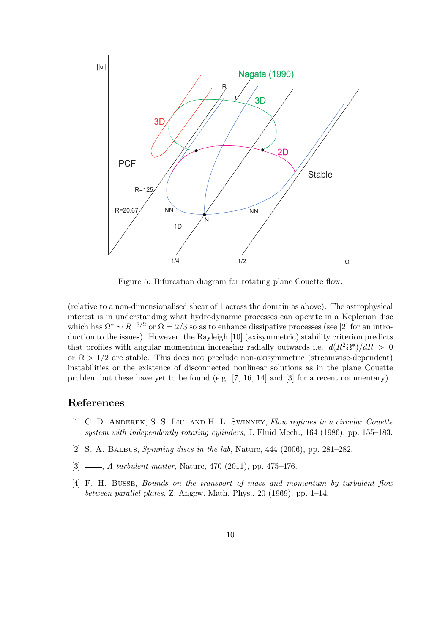

Figure 5: Bifurcation diagram for rotating plane Couette flow.

(relative to a non-dimensionalised shear of 1 across the domain as above). The astrophysical interest is in understanding what hydrodynamic processes can operate in a Keplerian disc which has  $\Omega^* \sim R^{-3/2}$  or  $\Omega = 2/3$  so as to enhance dissipative processes (see [2] for an introduction to the issues). However, the Rayleigh [10] (axisymmetric) stability criterion predicts that profiles with angular momentum increasing radially outwards i.e.  $d(R^2\Omega^*)/dR > 0$ or  $\Omega > 1/2$  are stable. This does not preclude non-axisymmetric (streamwise-dependent) instabilities or the existence of disconnected nonlinear solutions as in the plane Couette problem but these have yet to be found (e.g. [7, 16, 14] and [3] for a recent commentary).

## References

- [1] C. D. Anderek, S. S. Liu, and H. L. Swinney, Flow regimes in a circular Couette system with independently rotating cylinders, J. Fluid Mech., 164 (1986), pp. 155–183.
- [2] S. A. Balbus, Spinning discs in the lab, Nature, 444 (2006), pp. 281–282.
- $[3]$  , A turbulent matter, Nature, 470 (2011), pp. 475–476.
- [4] F. H. BUSSE, Bounds on the transport of mass and momentum by turbulent flow between parallel plates, Z. Angew. Math. Phys., 20 (1969), pp. 1–14.